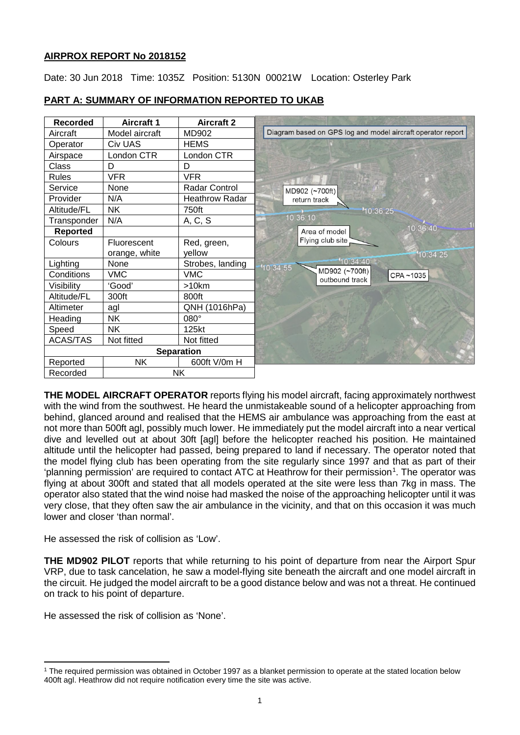# **AIRPROX REPORT No 2018152**

Date: 30 Jun 2018 Time: 1035Z Position: 5130N 00021W Location: Osterley Park

| PART A: SUMMARY OF INFORMATION REPORTED TO UKAB |  |
|-------------------------------------------------|--|
|                                                 |  |



**THE MODEL AIRCRAFT OPERATOR** reports flying his model aircraft, facing approximately northwest with the wind from the southwest. He heard the unmistakeable sound of a helicopter approaching from behind, glanced around and realised that the HEMS air ambulance was approaching from the east at not more than 500ft agl, possibly much lower. He immediately put the model aircraft into a near vertical dive and levelled out at about 30ft [agl] before the helicopter reached his position. He maintained altitude until the helicopter had passed, being prepared to land if necessary. The operator noted that the model flying club has been operating from the site regularly since 1997 and that as part of their 'planning permission' are required to contact ATC at Heathrow for their permission<sup>[1](#page-0-0)</sup>. The operator was flying at about 300ft and stated that all models operated at the site were less than 7kg in mass. The operator also stated that the wind noise had masked the noise of the approaching helicopter until it was very close, that they often saw the air ambulance in the vicinity, and that on this occasion it was much lower and closer 'than normal'.

He assessed the risk of collision as 'Low'.

**THE MD902 PILOT** reports that while returning to his point of departure from near the Airport Spur VRP, due to task cancelation, he saw a model-flying site beneath the aircraft and one model aircraft in the circuit. He judged the model aircraft to be a good distance below and was not a threat. He continued on track to his point of departure.

He assessed the risk of collision as 'None'.

l

<span id="page-0-0"></span><sup>1</sup> The required permission was obtained in October 1997 as a blanket permission to operate at the stated location below 400ft agl. Heathrow did not require notification every time the site was active.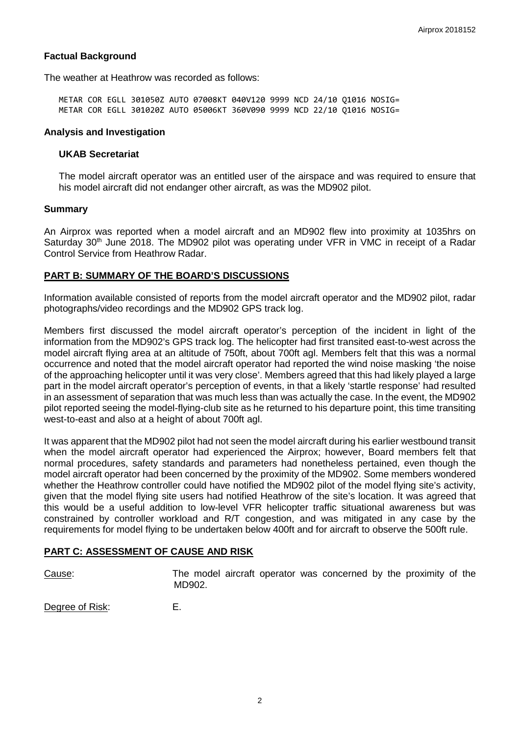## **Factual Background**

The weather at Heathrow was recorded as follows:

METAR COR EGLL 301050Z AUTO 07008KT 040V120 9999 NCD 24/10 Q1016 NOSIG= METAR COR EGLL 301020Z AUTO 05006KT 360V090 9999 NCD 22/10 Q1016 NOSIG=

#### **Analysis and Investigation**

#### **UKAB Secretariat**

The model aircraft operator was an entitled user of the airspace and was required to ensure that his model aircraft did not endanger other aircraft, as was the MD902 pilot.

#### **Summary**

An Airprox was reported when a model aircraft and an MD902 flew into proximity at 1035hrs on Saturday  $30<sup>th</sup>$  June 2018. The MD902 pilot was operating under VFR in VMC in receipt of a Radar Control Service from Heathrow Radar.

### **PART B: SUMMARY OF THE BOARD'S DISCUSSIONS**

Information available consisted of reports from the model aircraft operator and the MD902 pilot, radar photographs/video recordings and the MD902 GPS track log.

Members first discussed the model aircraft operator's perception of the incident in light of the information from the MD902's GPS track log. The helicopter had first transited east-to-west across the model aircraft flying area at an altitude of 750ft, about 700ft agl. Members felt that this was a normal occurrence and noted that the model aircraft operator had reported the wind noise masking 'the noise of the approaching helicopter until it was very close'. Members agreed that this had likely played a large part in the model aircraft operator's perception of events, in that a likely 'startle response' had resulted in an assessment of separation that was much less than was actually the case. In the event, the MD902 pilot reported seeing the model-flying-club site as he returned to his departure point, this time transiting west-to-east and also at a height of about 700ft agl.

It was apparent that the MD902 pilot had not seen the model aircraft during his earlier westbound transit when the model aircraft operator had experienced the Airprox; however, Board members felt that normal procedures, safety standards and parameters had nonetheless pertained, even though the model aircraft operator had been concerned by the proximity of the MD902. Some members wondered whether the Heathrow controller could have notified the MD902 pilot of the model flying site's activity, given that the model flying site users had notified Heathrow of the site's location. It was agreed that this would be a useful addition to low-level VFR helicopter traffic situational awareness but was constrained by controller workload and R/T congestion, and was mitigated in any case by the requirements for model flying to be undertaken below 400ft and for aircraft to observe the 500ft rule.

## **PART C: ASSESSMENT OF CAUSE AND RISK**

Cause: The model aircraft operator was concerned by the proximity of the MD902.

Degree of Risk: E.